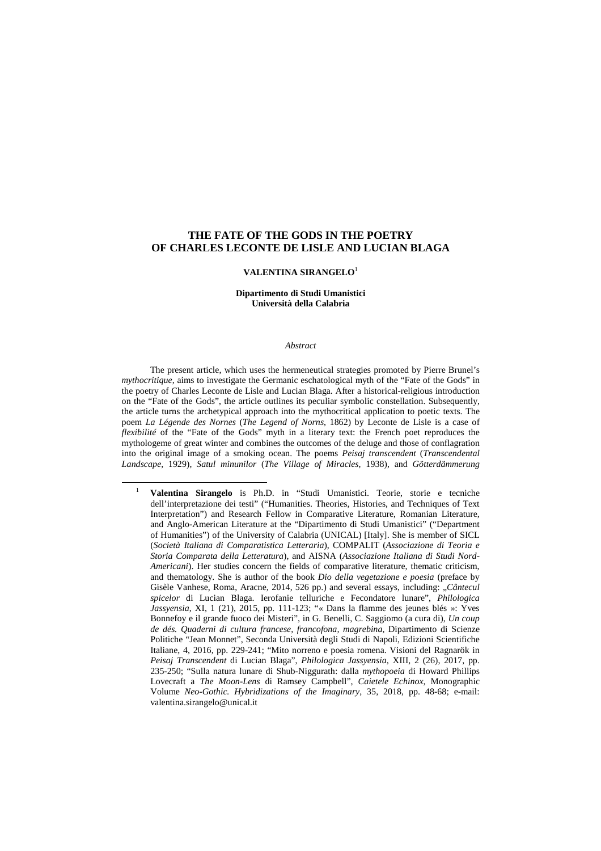## **THE FATE OF THE GODS IN THE POETRY OF CHARLES LECONTE DE LISLE AND LUCIAN BLAGA**

#### **VALENTINA SIRANGELO**<sup>1</sup>

### **Dipartimento di Studi Umanistici Università della Calabria**

#### *Abstract*

The present article, which uses the hermeneutical strategies promoted by Pierre Brunel's *mythocritique*, aims to investigate the Germanic eschatological myth of the "Fate of the Gods" in the poetry of Charles Leconte de Lisle and Lucian Blaga. After a historical-religious introduction on the "Fate of the Gods", the article outlines its peculiar symbolic constellation. Subsequently, the article turns the archetypical approach into the mythocritical application to poetic texts. The poem *La Légende des Nornes* (*The Legend of Norns*, 1862) by Leconte de Lisle is a case of *flexibilité* of the "Fate of the Gods" myth in a literary text: the French poet reproduces the mythologeme of great winter and combines the outcomes of the deluge and those of conflagration into the original image of a smoking ocean. The poems *Peisaj transcendent* (*Transcendental Landscape*, 1929), *Satul minunilor* (*The Village of Miracles*, 1938), and *Götterdämmerung* 

<sup>1</sup> **Valentina Sirangelo** is Ph.D. in "Studi Umanistici. Teorie, storie e tecniche dell'interpretazione dei testi" ("Humanities. Theories, Histories, and Techniques of Text Interpretation") and Research Fellow in Comparative Literature, Romanian Literature, and Anglo-American Literature at the "Dipartimento di Studi Umanistici" ("Department of Humanities") of the University of Calabria (UNICAL) [Italy]. She is member of SICL (*Società Italiana di Comparatistica Letteraria*), COMPALIT (*Associazione di Teoria e Storia Comparata della Letteratura*), and AISNA (*Associazione Italiana di Studi Nord-Americani*). Her studies concern the fields of comparative literature, thematic criticism, and thematology. She is author of the book *Dio della vegetazione e poesia* (preface by Gisèle Vanhese, Roma, Aracne, 2014, 526 pp.) and several essays, including: "*Cântecul spicelor* di Lucian Blaga. Ierofanie telluriche e Fecondatore lunare", *Philologica Jassyensia*, XI, 1 (21), 2015, pp. 111-123; "« Dans la flamme des jeunes blés »: Yves Bonnefoy e il grande fuoco dei Misteri", in G. Benelli, C. Saggiomo (a cura di), *Un coup de dés. Quaderni di cultura francese, francofona, magrebina*, Dipartimento di Scienze Politiche "Jean Monnet", Seconda Università degli Studi di Napoli, Edizioni Scientifiche Italiane, 4, 2016, pp. 229-241; "Mito norreno e poesia romena. Visioni del Ragnarök in *Peisaj Transcendent* di Lucian Blaga", *Philologica Jassyensia*, XIII, 2 (26), 2017, pp. 235-250; "Sulla natura lunare di Shub-Niggurath: dalla *mythopoeia* di Howard Phillips Lovecraft a *The Moon-Lens* di Ramsey Campbell", *Caietele Echinox*, Monographic Volume *Neo-Gothic. Hybridizations of the Imaginary*, 35, 2018, pp. 48-68; e-mail: valentina.sirangelo@unical.it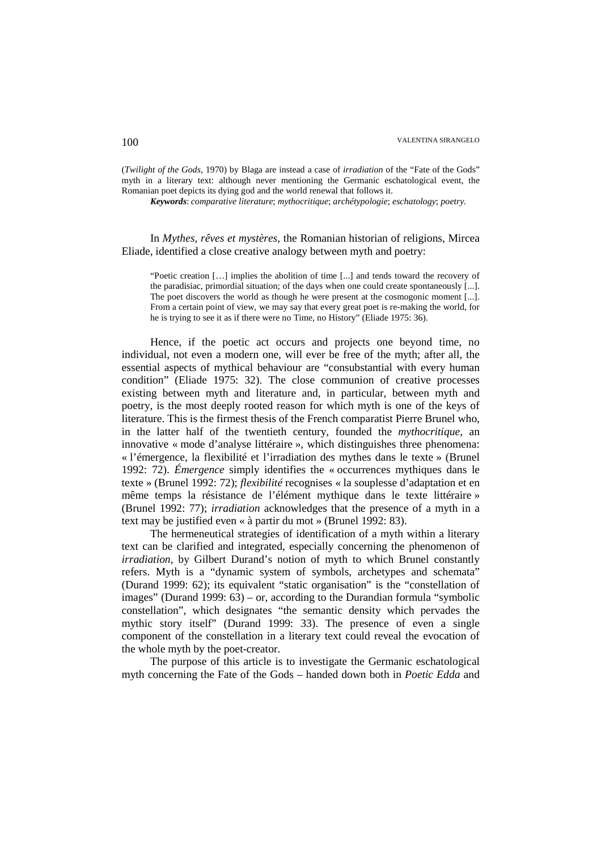(*Twilight of the Gods*, 1970) by Blaga are instead a case of *irradiation* of the "Fate of the Gods" myth in a literary text: although never mentioning the Germanic eschatological event, the Romanian poet depicts its dying god and the world renewal that follows it.

*Keywords*: *comparative literature*; *mythocritique*; *archétypologie*; *eschatology*; *poetry.* 

In *Mythes, rêves et mystères*, the Romanian historian of religions, Mircea Eliade, identified a close creative analogy between myth and poetry:

"Poetic creation […] implies the abolition of time [...] and tends toward the recovery of the paradisiac, primordial situation; of the days when one could create spontaneously [...]. The poet discovers the world as though he were present at the cosmogonic moment [...]. From a certain point of view, we may say that every great poet is re-making the world, for he is trying to see it as if there were no Time, no History" (Eliade 1975: 36).

Hence, if the poetic act occurs and projects one beyond time, no individual, not even a modern one, will ever be free of the myth; after all, the essential aspects of mythical behaviour are "consubstantial with every human condition" (Eliade 1975: 32). The close communion of creative processes existing between myth and literature and, in particular, between myth and poetry, is the most deeply rooted reason for which myth is one of the keys of literature. This is the firmest thesis of the French comparatist Pierre Brunel who, in the latter half of the twentieth century, founded the *mythocritique*, an innovative « mode d'analyse littéraire », which distinguishes three phenomena: « l'émergence, la flexibilité et l'irradiation des mythes dans le texte » (Brunel 1992: 72). *Émergence* simply identifies the « occurrences mythiques dans le texte » (Brunel 1992: 72); *flexibilité* recognises « la souplesse d'adaptation et en même temps la résistance de l'élément mythique dans le texte littéraire » (Brunel 1992: 77); *irradiation* acknowledges that the presence of a myth in a text may be justified even « à partir du mot » (Brunel 1992: 83).

The hermeneutical strategies of identification of a myth within a literary text can be clarified and integrated, especially concerning the phenomenon of *irradiation*, by Gilbert Durand's notion of myth to which Brunel constantly refers. Myth is a "dynamic system of symbols, archetypes and schemata" (Durand 1999: 62); its equivalent "static organisation" is the "constellation of images" (Durand 1999: 63) – or, according to the Durandian formula "symbolic constellation", which designates "the semantic density which pervades the mythic story itself" (Durand 1999: 33). The presence of even a single component of the constellation in a literary text could reveal the evocation of the whole myth by the poet-creator.

The purpose of this article is to investigate the Germanic eschatological myth concerning the Fate of the Gods – handed down both in *Poetic Edda* and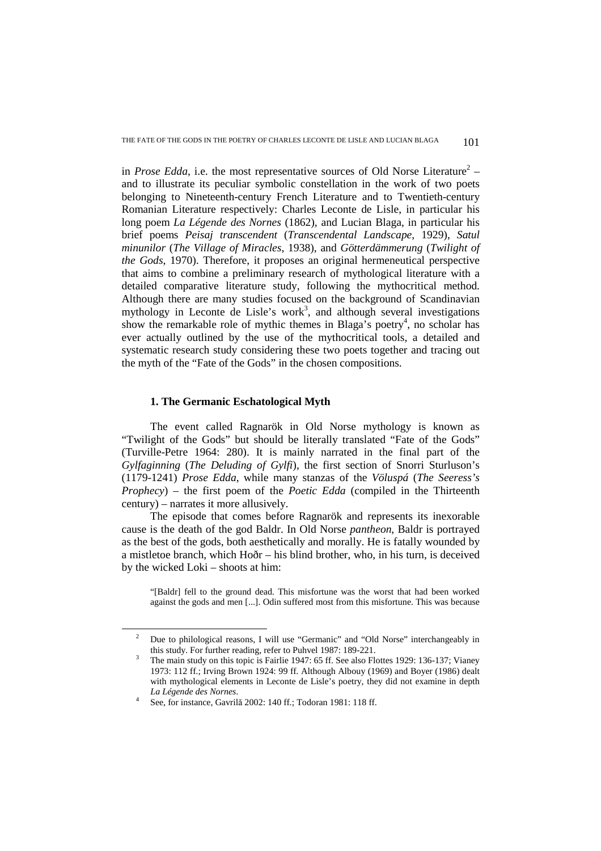in *Prose Edda*, i.e. the most representative sources of Old Norse Literature<sup>2</sup> – and to illustrate its peculiar symbolic constellation in the work of two poets belonging to Nineteenth-century French Literature and to Twentieth-century Romanian Literature respectively: Charles Leconte de Lisle, in particular his long poem *La Légende des Nornes* (1862), and Lucian Blaga, in particular his brief poems *Peisaj transcendent* (*Transcendental Landscape*, 1929), *Satul minunilor* (*The Village of Miracles*, 1938), and *Götterdämmerung* (*Twilight of the Gods*, 1970). Therefore, it proposes an original hermeneutical perspective that aims to combine a preliminary research of mythological literature with a detailed comparative literature study, following the mythocritical method. Although there are many studies focused on the background of Scandinavian mythology in Leconte de Lisle's work<sup>3</sup>, and although several investigations show the remarkable role of mythic themes in Blaga's poetry<sup>4</sup>, no scholar has ever actually outlined by the use of the mythocritical tools, a detailed and systematic research study considering these two poets together and tracing out the myth of the "Fate of the Gods" in the chosen compositions.

### **1. The Germanic Eschatological Myth**

The event called Ragnarök in Old Norse mythology is known as "Twilight of the Gods" but should be literally translated "Fate of the Gods" (Turville-Petre 1964: 280). It is mainly narrated in the final part of the *Gylfaginning* (*The Deluding of Gylfi*), the first section of Snorri Sturluson's (1179-1241) *Prose Edda*, while many stanzas of the *Völuspá* (*The Seeress's Prophecy*) – the first poem of the *Poetic Edda* (compiled in the Thirteenth century) – narrates it more allusively.

The episode that comes before Ragnarök and represents its inexorable cause is the death of the god Baldr. In Old Norse *pantheon*, Baldr is portrayed as the best of the gods, both aesthetically and morally. He is fatally wounded by a mistletoe branch, which Hoðr – his blind brother, who, in his turn, is deceived by the wicked Loki – shoots at him:

"[Baldr] fell to the ground dead. This misfortune was the worst that had been worked against the gods and men [...]. Odin suffered most from this misfortune. This was because

<sup>2</sup> Due to philological reasons, I will use "Germanic" and "Old Norse" interchangeably in this study. For further reading, refer to Puhvel 1987: 189-221.

<sup>3</sup> The main study on this topic is Fairlie 1947: 65 ff. See also Flottes 1929: 136-137; Vianey 1973: 112 ff.; Irving Brown 1924: 99 ff. Although Albouy (1969) and Boyer (1986) dealt with mythological elements in Leconte de Lisle's poetry, they did not examine in depth *La Légende des Nornes*.

<sup>4</sup> See, for instance, Gavrilă 2002: 140 ff.; Todoran 1981: 118 ff.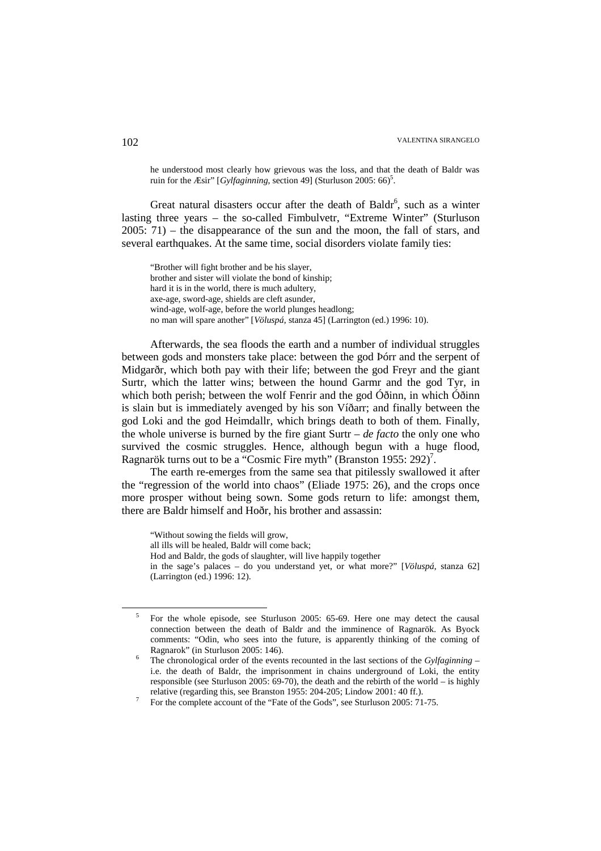he understood most clearly how grievous was the loss, and that the death of Baldr was ruin for the *Æsir*" [*Gylfaginning*, section 49] (Sturluson 2005: 66)<sup>5</sup>.

Great natural disasters occur after the death of Baldr<sup>6</sup>, such as a winter lasting three years – the so-called Fimbulvetr, "Extreme Winter" (Sturluson 2005: 71) – the disappearance of the sun and the moon, the fall of stars, and several earthquakes. At the same time, social disorders violate family ties:

"Brother will fight brother and be his slayer, brother and sister will violate the bond of kinship; hard it is in the world, there is much adultery, axe-age, sword-age, shields are cleft asunder, wind-age, wolf-age, before the world plunges headlong; no man will spare another" [*Völuspá*, stanza 45] (Larrington (ed.) 1996: 10).

Afterwards, the sea floods the earth and a number of individual struggles between gods and monsters take place: between the god Þórr and the serpent of Midgarðr, which both pay with their life; between the god Freyr and the giant Surtr, which the latter wins; between the hound Garmr and the god Tyr, in which both perish; between the wolf Fenrir and the god Óðinn, in which Óðinn is slain but is immediately avenged by his son Víðarr; and finally between the god Loki and the god Heimdallr, which brings death to both of them. Finally, the whole universe is burned by the fire giant Surtr – *de facto* the only one who survived the cosmic struggles. Hence, although begun with a huge flood, Ragnarök turns out to be a "Cosmic Fire myth" (Branston 1955: 292)<sup>7</sup>.

The earth re-emerges from the same sea that pitilessly swallowed it after the "regression of the world into chaos" (Eliade 1975: 26), and the crops once more prosper without being sown. Some gods return to life: amongst them, there are Baldr himself and Hoðr, his brother and assassin:

<sup>&</sup>quot;Without sowing the fields will grow,

all ills will be healed, Baldr will come back;

Hod and Baldr, the gods of slaughter, will live happily together

in the sage's palaces – do you understand yet, or what more?" [*Völuspá*, stanza 62] (Larrington (ed.) 1996: 12).

<sup>5</sup> For the whole episode, see Sturluson 2005: 65-69. Here one may detect the causal connection between the death of Baldr and the imminence of Ragnarök. As Byock comments: "Odin, who sees into the future, is apparently thinking of the coming of Ragnarok" (in Sturluson 2005: 146).

<sup>6</sup> The chronological order of the events recounted in the last sections of the *Gylfaginning* – i.e. the death of Baldr, the imprisonment in chains underground of Loki, the entity responsible (see Sturluson 2005: 69-70), the death and the rebirth of the world – is highly relative (regarding this, see Branston 1955: 204-205; Lindow 2001: 40 ff.).

<sup>7</sup> For the complete account of the "Fate of the Gods", see Sturluson 2005: 71-75.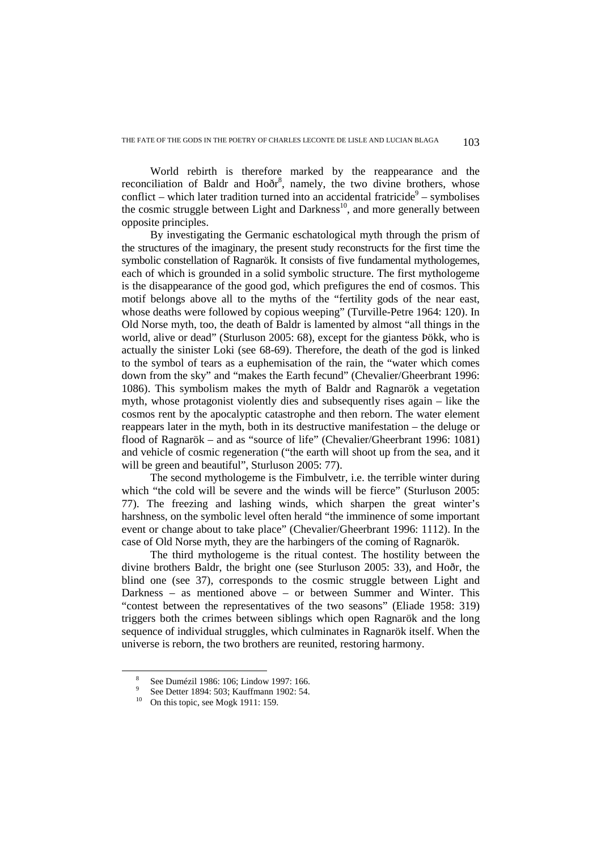World rebirth is therefore marked by the reappearance and the reconciliation of Baldr and Hoðr<sup>8</sup>, namely, the two divine brothers, whose conflict – which later tradition turned into an accidental fratricide<sup>9</sup> – symbolises the cosmic struggle between Light and Darkness<sup>10</sup>, and more generally between opposite principles.

By investigating the Germanic eschatological myth through the prism of the structures of the imaginary, the present study reconstructs for the first time the symbolic constellation of Ragnarök. It consists of five fundamental mythologemes, each of which is grounded in a solid symbolic structure. The first mythologeme is the disappearance of the good god, which prefigures the end of cosmos. This motif belongs above all to the myths of the "fertility gods of the near east, whose deaths were followed by copious weeping" (Turville-Petre 1964: 120). In Old Norse myth, too, the death of Baldr is lamented by almost "all things in the world, alive or dead" (Sturluson 2005: 68), except for the giantess Þökk, who is actually the sinister Loki (see 68-69). Therefore, the death of the god is linked to the symbol of tears as a euphemisation of the rain, the "water which comes down from the sky" and "makes the Earth fecund" (Chevalier/Gheerbrant 1996: 1086). This symbolism makes the myth of Baldr and Ragnarök a vegetation myth, whose protagonist violently dies and subsequently rises again – like the cosmos rent by the apocalyptic catastrophe and then reborn. The water element reappears later in the myth, both in its destructive manifestation – the deluge or flood of Ragnarök – and as "source of life" (Chevalier/Gheerbrant 1996: 1081) and vehicle of cosmic regeneration ("the earth will shoot up from the sea, and it will be green and beautiful", Sturluson 2005: 77).

The second mythologeme is the Fimbulvetr, i.e. the terrible winter during which "the cold will be severe and the winds will be fierce" (Sturluson 2005: 77). The freezing and lashing winds, which sharpen the great winter's harshness, on the symbolic level often herald "the imminence of some important event or change about to take place" (Chevalier/Gheerbrant 1996: 1112). In the case of Old Norse myth, they are the harbingers of the coming of Ragnarök.

The third mythologeme is the ritual contest. The hostility between the divine brothers Baldr, the bright one (see Sturluson 2005: 33), and Hoðr, the blind one (see 37), corresponds to the cosmic struggle between Light and Darkness – as mentioned above – or between Summer and Winter. This "contest between the representatives of the two seasons" (Eliade 1958: 319) triggers both the crimes between siblings which open Ragnarök and the long sequence of individual struggles, which culminates in Ragnarök itself. When the universe is reborn, the two brothers are reunited, restoring harmony.

<sup>&</sup>lt;sup>8</sup> See Dumézil 1986: 106; Lindow 1997: 166.<br>
9 See Detter 1894: 503; Kauffmann 1902: 54.

<sup>&</sup>lt;sup>10</sup> On this topic, see Mogk 1911: 159.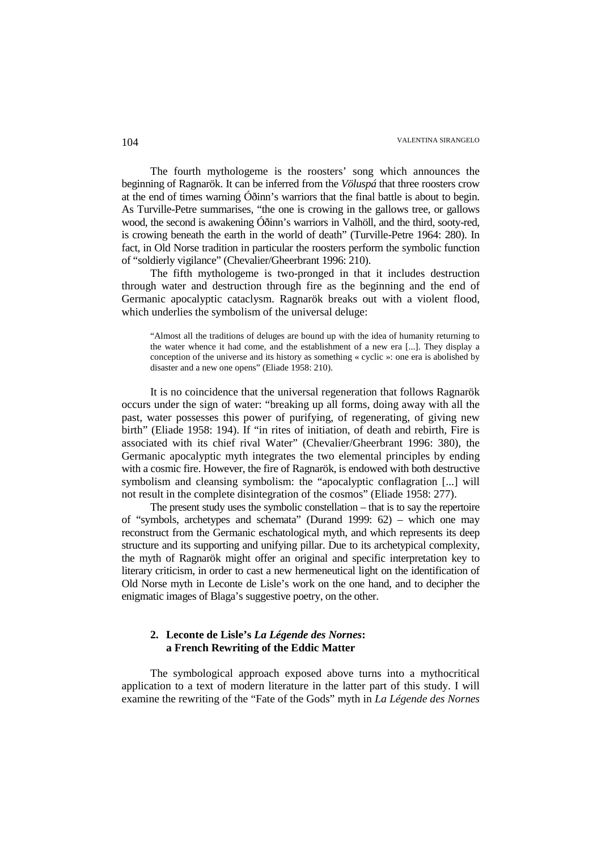The fourth mythologeme is the roosters' song which announces the beginning of Ragnarök. It can be inferred from the *Völuspá* that three roosters crow at the end of times warning Óðinn's warriors that the final battle is about to begin. As Turville-Petre summarises, "the one is crowing in the gallows tree, or gallows wood, the second is awakening Óðinn's warriors in Valhöll, and the third, sooty-red, is crowing beneath the earth in the world of death" (Turville-Petre 1964: 280). In fact, in Old Norse tradition in particular the roosters perform the symbolic function of "soldierly vigilance" (Chevalier/Gheerbrant 1996: 210).

The fifth mythologeme is two-pronged in that it includes destruction through water and destruction through fire as the beginning and the end of Germanic apocalyptic cataclysm. Ragnarök breaks out with a violent flood, which underlies the symbolism of the universal deluge:

"Almost all the traditions of deluges are bound up with the idea of humanity returning to the water whence it had come, and the establishment of a new era [...]. They display a conception of the universe and its history as something « cyclic »: one era is abolished by disaster and a new one opens" (Eliade 1958: 210).

It is no coincidence that the universal regeneration that follows Ragnarök occurs under the sign of water: "breaking up all forms, doing away with all the past, water possesses this power of purifying, of regenerating, of giving new birth" (Eliade 1958: 194). If "in rites of initiation, of death and rebirth, Fire is associated with its chief rival Water" (Chevalier/Gheerbrant 1996: 380), the Germanic apocalyptic myth integrates the two elemental principles by ending with a cosmic fire. However, the fire of Ragnarök, is endowed with both destructive symbolism and cleansing symbolism: the "apocalyptic conflagration [...] will not result in the complete disintegration of the cosmos" (Eliade 1958: 277).

The present study uses the symbolic constellation – that is to say the repertoire of "symbols, archetypes and schemata" (Durand 1999: 62) – which one may reconstruct from the Germanic eschatological myth, and which represents its deep structure and its supporting and unifying pillar. Due to its archetypical complexity, the myth of Ragnarök might offer an original and specific interpretation key to literary criticism, in order to cast a new hermeneutical light on the identification of Old Norse myth in Leconte de Lisle's work on the one hand, and to decipher the enigmatic images of Blaga's suggestive poetry, on the other.

# **2. Leconte de Lisle's** *La Légende des Nornes***: a French Rewriting of the Eddic Matter**

The symbological approach exposed above turns into a mythocritical application to a text of modern literature in the latter part of this study. I will examine the rewriting of the "Fate of the Gods" myth in *La Légende des Nornes*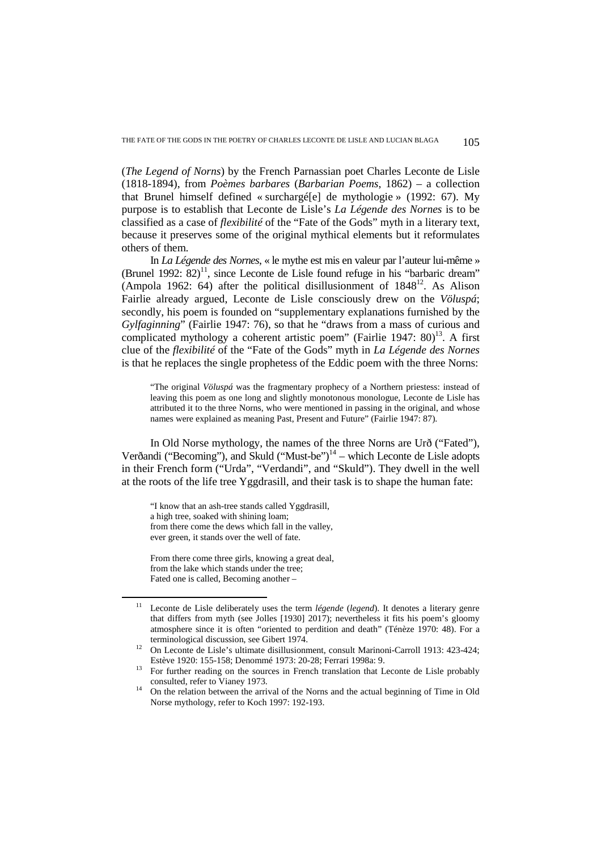(*The Legend of Norns*) by the French Parnassian poet Charles Leconte de Lisle (1818-1894), from *Poèmes barbares* (*Barbarian Poems*, 1862) – a collection that Brunel himself defined « surchargé[e] de mythologie » (1992: 67). My purpose is to establish that Leconte de Lisle's *La Légende des Nornes* is to be classified as a case of *flexibilité* of the "Fate of the Gods" myth in a literary text, because it preserves some of the original mythical elements but it reformulates others of them.

In *La Légende des Nornes*, « le mythe est mis en valeur par l'auteur lui-même » (Brunel 1992:  $82$ )<sup>11</sup>, since Leconte de Lisle found refuge in his "barbaric dream" (Ampola 1962: 64) after the political disillusionment of  $1848^{12}$ . As Alison Fairlie already argued, Leconte de Lisle consciously drew on the *Völuspá*; secondly, his poem is founded on "supplementary explanations furnished by the *Gylfaginning*" (Fairlie 1947: 76), so that he "draws from a mass of curious and complicated mythology a coherent artistic poem" (Fairlie 1947:  $80$ )<sup>13</sup>. A first clue of the *flexibilité* of the "Fate of the Gods" myth in *La Légende des Nornes* is that he replaces the single prophetess of the Eddic poem with the three Norns:

"The original *Völuspá* was the fragmentary prophecy of a Northern priestess: instead of leaving this poem as one long and slightly monotonous monologue, Leconte de Lisle has attributed it to the three Norns, who were mentioned in passing in the original, and whose names were explained as meaning Past, Present and Future" (Fairlie 1947: 87).

In Old Norse mythology, the names of the three Norns are Urð ("Fated"), Verðandi ("Becoming"), and Skuld ("Must-be") $14$  – which Leconte de Lisle adopts in their French form ("Urda", "Verdandi", and "Skuld"). They dwell in the well at the roots of the life tree Yggdrasill, and their task is to shape the human fate:

"I know that an ash-tree stands called Yggdrasill, a high tree, soaked with shining loam; from there come the dews which fall in the valley, ever green, it stands over the well of fate.

From there come three girls, knowing a great deal, from the lake which stands under the tree; Fated one is called, Becoming another –

<sup>11</sup> Leconte de Lisle deliberately uses the term *légende* (*legend*). It denotes a literary genre that differs from myth (see Jolles [1930] 2017); nevertheless it fits his poem's gloomy atmosphere since it is often "oriented to perdition and death" (Ténèze 1970: 48). For a terminological discussion, see Gibert 1974.

<sup>&</sup>lt;sup>12</sup> On Leconte de Lisle's ultimate disillusionment, consult Marinoni-Carroll 1913: 423-424; Estève 1920: 155-158; Denommé 1973: 20-28; Ferrari 1998a: 9.

<sup>&</sup>lt;sup>13</sup> For further reading on the sources in French translation that Leconte de Lisle probably consulted, refer to Vianey 1973.

<sup>14</sup> On the relation between the arrival of the Norns and the actual beginning of Time in Old Norse mythology, refer to Koch 1997: 192-193.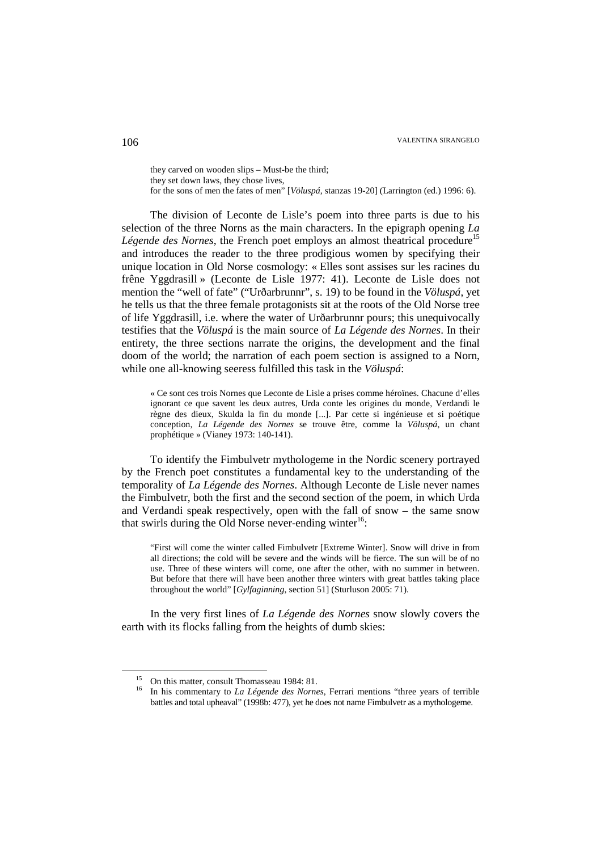they carved on wooden slips – Must-be the third; they set down laws, they chose lives, for the sons of men the fates of men" [*Völuspá*, stanzas 19-20] (Larrington (ed.) 1996: 6).

The division of Leconte de Lisle's poem into three parts is due to his selection of the three Norns as the main characters. In the epigraph opening *La Légende des Nornes*, the French poet employs an almost theatrical procedure<sup>15</sup> and introduces the reader to the three prodigious women by specifying their unique location in Old Norse cosmology: « Elles sont assises sur les racines du frêne Yggdrasill » (Leconte de Lisle 1977: 41). Leconte de Lisle does not mention the "well of fate" ("Urðarbrunnr", s. 19) to be found in the *Völuspá*, yet he tells us that the three female protagonists sit at the roots of the Old Norse tree of life Yggdrasill, i.e. where the water of Urðarbrunnr pours; this unequivocally testifies that the *Völuspá* is the main source of *La Légende des Nornes*. In their entirety, the three sections narrate the origins, the development and the final doom of the world; the narration of each poem section is assigned to a Norn, while one all-knowing seeress fulfilled this task in the *Völuspá*:

« Ce sont ces trois Nornes que Leconte de Lisle a prises comme héroïnes. Chacune d'elles ignorant ce que savent les deux autres, Urda conte les origines du monde, Verdandi le règne des dieux, Skulda la fin du monde [...]. Par cette si ingénieuse et si poétique conception, *La Légende des Nornes* se trouve être, comme la *Völuspá*, un chant prophétique » (Vianey 1973: 140-141).

To identify the Fimbulvetr mythologeme in the Nordic scenery portrayed by the French poet constitutes a fundamental key to the understanding of the temporality of *La Légende des Nornes*. Although Leconte de Lisle never names the Fimbulvetr, both the first and the second section of the poem, in which Urda and Verdandi speak respectively, open with the fall of snow – the same snow that swirls during the Old Norse never-ending winter<sup>16</sup>:

"First will come the winter called Fimbulvetr [Extreme Winter]. Snow will drive in from all directions; the cold will be severe and the winds will be fierce. The sun will be of no use. Three of these winters will come, one after the other, with no summer in between. But before that there will have been another three winters with great battles taking place throughout the world" [*Gylfaginning*, section 51] (Sturluson 2005: 71).

In the very first lines of *La Légende des Nornes* snow slowly covers the earth with its flocks falling from the heights of dumb skies:

<sup>15</sup> On this matter, consult Thomasseau 1984: 81.

<sup>&</sup>lt;sup>16</sup> In his commentary to *La Légende des Nornes*, Ferrari mentions "three years of terrible battles and total upheaval" (1998b: 477), yet he does not name Fimbulvetr as a mythologeme.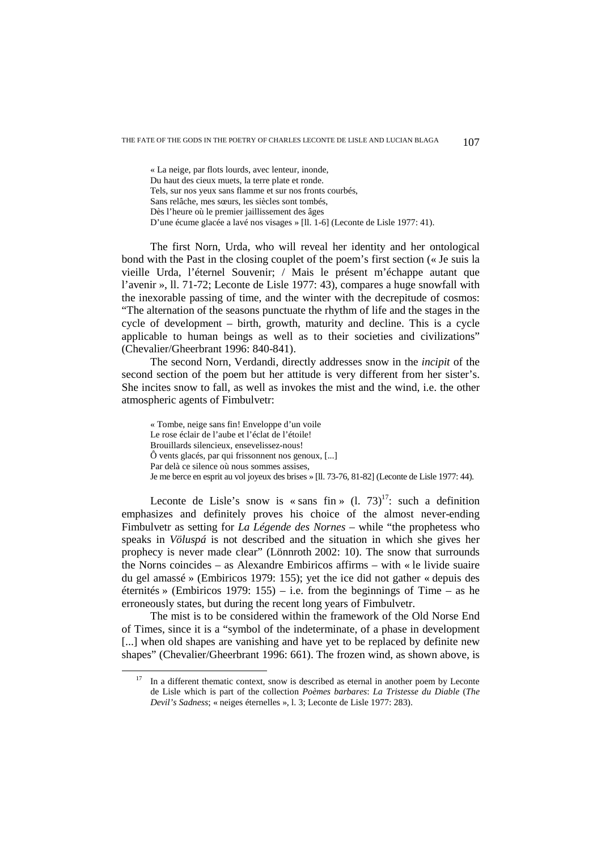« La neige, par flots lourds, avec lenteur, inonde, Du haut des cieux muets, la terre plate et ronde. Tels, sur nos yeux sans flamme et sur nos fronts courbés, Sans relâche, mes sœurs, les siècles sont tombés, Dès l'heure où le premier jaillissement des âges D'une écume glacée a lavé nos visages » [ll. 1-6] (Leconte de Lisle 1977: 41).

The first Norn, Urda, who will reveal her identity and her ontological bond with the Past in the closing couplet of the poem's first section (« Je suis la vieille Urda, l'éternel Souvenir; / Mais le présent m'échappe autant que l'avenir », ll. 71-72; Leconte de Lisle 1977: 43), compares a huge snowfall with the inexorable passing of time, and the winter with the decrepitude of cosmos: "The alternation of the seasons punctuate the rhythm of life and the stages in the cycle of development – birth, growth, maturity and decline. This is a cycle applicable to human beings as well as to their societies and civilizations" (Chevalier/Gheerbrant 1996: 840-841).

The second Norn, Verdandi, directly addresses snow in the *incipit* of the second section of the poem but her attitude is very different from her sister's. She incites snow to fall, as well as invokes the mist and the wind, i.e. the other atmospheric agents of Fimbulvetr:

« Tombe, neige sans fin! Enveloppe d'un voile Le rose éclair de l'aube et l'éclat de l'étoile! Brouillards silencieux, ensevelissez-nous! Ô vents glacés, par qui frissonnent nos genoux, [...] Par delà ce silence où nous sommes assises, Je me berce en esprit au vol joyeux des brises » [ll. 73-76, 81-82] (Leconte de Lisle 1977: 44).

Leconte de Lisle's snow is « sans fin »  $(1, 73)^{17}$ : such a definition emphasizes and definitely proves his choice of the almost never-ending Fimbulvetr as setting for *La Légende des Nornes* – while "the prophetess who speaks in *Völuspá* is not described and the situation in which she gives her prophecy is never made clear" (Lönnroth 2002: 10). The snow that surrounds the Norns coincides – as Alexandre Embiricos affirms – with « le livide suaire du gel amassé » (Embiricos 1979: 155); yet the ice did not gather « depuis des éternités » (Embiricos 1979: 155) – i.e. from the beginnings of Time – as he erroneously states, but during the recent long years of Fimbulvetr.

The mist is to be considered within the framework of the Old Norse End of Times, since it is a "symbol of the indeterminate, of a phase in development [...] when old shapes are vanishing and have yet to be replaced by definite new shapes" (Chevalier/Gheerbrant 1996: 661). The frozen wind, as shown above, is

In a different thematic context, snow is described as eternal in another poem by Leconte de Lisle which is part of the collection *Poèmes barbares*: *La Tristesse du Diable* (*The Devil's Sadness*; « neiges éternelles », l. 3; Leconte de Lisle 1977: 283).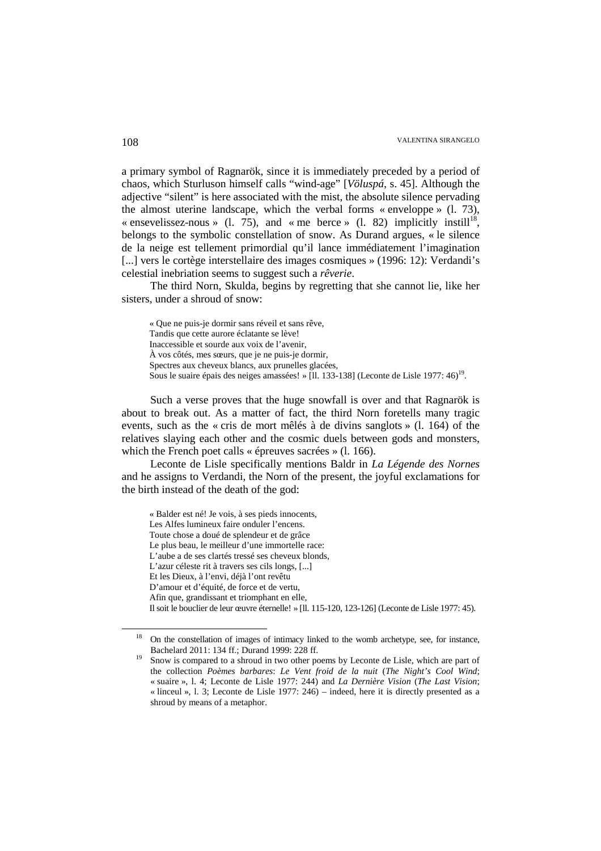a primary symbol of Ragnarök, since it is immediately preceded by a period of chaos, which Sturluson himself calls "wind-age" [*Völuspá*, s. 45]. Although the adjective "silent" is here associated with the mist, the absolute silence pervading the almost uterine landscape, which the verbal forms « enveloppe » (l. 73), « ensevelissez-nous » (1. 75), and « me berce » (1. 82) implicitly instill<sup>18</sup>, belongs to the symbolic constellation of snow. As Durand argues, « le silence de la neige est tellement primordial qu'il lance immédiatement l'imagination [...] vers le cortège interstellaire des images cosmiques » (1996: 12): Verdandi's celestial inebriation seems to suggest such a *rêverie*.

The third Norn, Skulda, begins by regretting that she cannot lie, like her sisters, under a shroud of snow:

« Que ne puis-je dormir sans réveil et sans rêve, Tandis que cette aurore éclatante se lève! Inaccessible et sourde aux voix de l'avenir, À vos côtés, mes sœurs, que je ne puis-je dormir, Spectres aux cheveux blancs, aux prunelles glacées, Sous le suaire épais des neiges amassées! » [Il. 133-138] (Leconte de Lisle 1977: 46)<sup>19</sup>.

Such a verse proves that the huge snowfall is over and that Ragnarök is about to break out. As a matter of fact, the third Norn foretells many tragic events, such as the « cris de mort mêlés à de divins sanglots » (l. 164) of the relatives slaying each other and the cosmic duels between gods and monsters, which the French poet calls « épreuves sacrées » (l. 166).

Leconte de Lisle specifically mentions Baldr in *La Légende des Nornes* and he assigns to Verdandi, the Norn of the present, the joyful exclamations for the birth instead of the death of the god:

« Balder est né! Je vois, à ses pieds innocents,

Les Alfes lumineux faire onduler l'encens. Toute chose a doué de splendeur et de grâce Le plus beau, le meilleur d'une immortelle race: L'aube a de ses clartés tressé ses cheveux blonds, L'azur céleste rit à travers ses cils longs, [...] Et les Dieux, à l'envi, déjà l'ont revêtu D'amour et d'équité, de force et de vertu, Afin que, grandissant et triomphant en elle, Il soit le bouclier de leur œuvre éternelle! » [ll. 115-120, 123-126] (Leconte de Lisle 1977: 45).

<sup>&</sup>lt;sup>18</sup> On the constellation of images of intimacy linked to the womb archetype, see, for instance, Bachelard 2011: 134 ff.; Durand 1999: 228 ff.

<sup>&</sup>lt;sup>19</sup> Snow is compared to a shroud in two other poems by Leconte de Lisle, which are part of the collection *Poèmes barbares*: *Le Vent froid de la nuit* (*The Night's Cool Wind*; « suaire », l. 4; Leconte de Lisle 1977: 244) and *La Dernière Vision* (*The Last Vision*; « linceul », l. 3; Leconte de Lisle 1977: 246) – indeed, here it is directly presented as a shroud by means of a metaphor.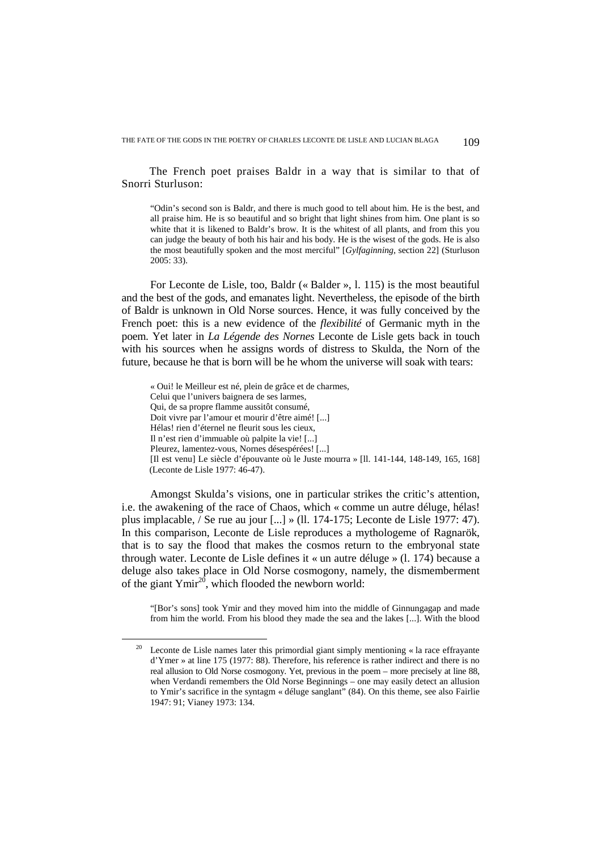The French poet praises Baldr in a way that is similar to that of Snorri Sturluson:

"Odin's second son is Baldr, and there is much good to tell about him. He is the best, and all praise him. He is so beautiful and so bright that light shines from him. One plant is so white that it is likened to Baldr's brow. It is the whitest of all plants, and from this you can judge the beauty of both his hair and his body. He is the wisest of the gods. He is also the most beautifully spoken and the most merciful" [*Gylfaginning*, section 22] (Sturluson 2005: 33).

For Leconte de Lisle, too, Baldr (« Balder », l. 115) is the most beautiful and the best of the gods, and emanates light. Nevertheless, the episode of the birth of Baldr is unknown in Old Norse sources. Hence, it was fully conceived by the French poet: this is a new evidence of the *flexibilité* of Germanic myth in the poem. Yet later in *La Légende des Nornes* Leconte de Lisle gets back in touch with his sources when he assigns words of distress to Skulda, the Norn of the future, because he that is born will be he whom the universe will soak with tears:

« Oui! le Meilleur est né, plein de grâce et de charmes, Celui que l'univers baignera de ses larmes, Qui, de sa propre flamme aussitôt consumé, Doit vivre par l'amour et mourir d'être aimé! [...] Hélas! rien d'éternel ne fleurit sous les cieux, Il n'est rien d'immuable où palpite la vie! [...] Pleurez, lamentez-vous, Nornes désespérées! [...] [Il est venu] Le siècle d'épouvante où le Juste mourra » [ll. 141-144, 148-149, 165, 168] (Leconte de Lisle 1977: 46-47).

Amongst Skulda's visions, one in particular strikes the critic's attention, i.e. the awakening of the race of Chaos, which « comme un autre déluge, hélas! plus implacable, / Se rue au jour [...] » (ll. 174-175; Leconte de Lisle 1977: 47). In this comparison, Leconte de Lisle reproduces a mythologeme of Ragnarök, that is to say the flood that makes the cosmos return to the embryonal state through water. Leconte de Lisle defines it « un autre déluge » (l. 174) because a deluge also takes place in Old Norse cosmogony, namely, the dismemberment of the giant Ymir<sup>20</sup>, which flooded the newborn world:

"[Bor's sons] took Ymir and they moved him into the middle of Ginnungagap and made from him the world. From his blood they made the sea and the lakes [...]. With the blood

<sup>&</sup>lt;sup>20</sup> Leconte de Lisle names later this primordial giant simply mentioning  $\ll$  la race effrayante d'Ymer » at line 175 (1977: 88). Therefore, his reference is rather indirect and there is no real allusion to Old Norse cosmogony. Yet, previous in the poem – more precisely at line 88, when Verdandi remembers the Old Norse Beginnings – one may easily detect an allusion to Ymir's sacrifice in the syntagm « déluge sanglant" (84). On this theme, see also Fairlie 1947: 91; Vianey 1973: 134.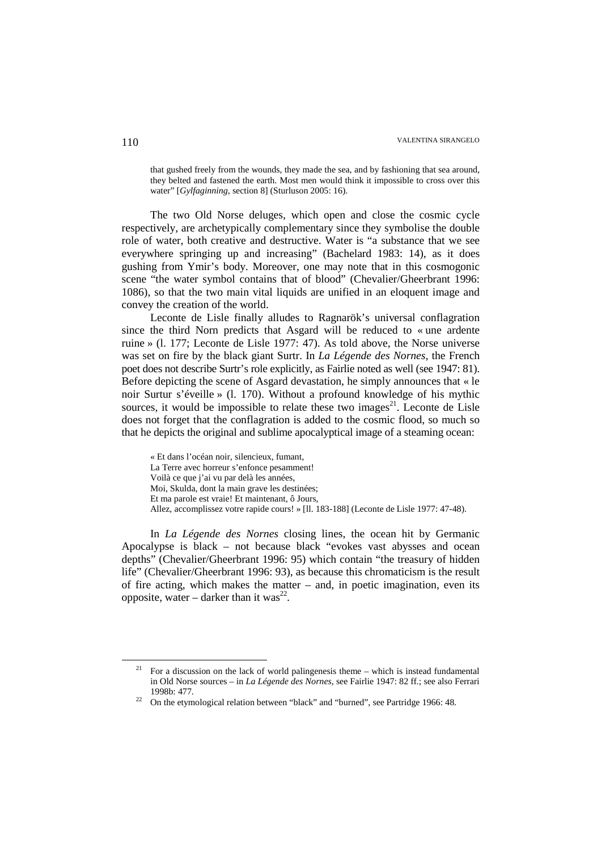that gushed freely from the wounds, they made the sea, and by fashioning that sea around, they belted and fastened the earth. Most men would think it impossible to cross over this water" [*Gylfaginning*, section 8] (Sturluson 2005: 16).

The two Old Norse deluges, which open and close the cosmic cycle respectively, are archetypically complementary since they symbolise the double role of water, both creative and destructive. Water is "a substance that we see everywhere springing up and increasing" (Bachelard 1983: 14), as it does gushing from Ymir's body. Moreover, one may note that in this cosmogonic scene "the water symbol contains that of blood" (Chevalier/Gheerbrant 1996: 1086), so that the two main vital liquids are unified in an eloquent image and convey the creation of the world.

Leconte de Lisle finally alludes to Ragnarök's universal conflagration since the third Norn predicts that Asgard will be reduced to « une ardente ruine » (l. 177; Leconte de Lisle 1977: 47). As told above, the Norse universe was set on fire by the black giant Surtr. In *La Légende des Nornes*, the French poet does not describe Surtr's role explicitly, as Fairlie noted as well (see 1947: 81). Before depicting the scene of Asgard devastation, he simply announces that « le noir Surtur s'éveille » (l. 170). Without a profound knowledge of his mythic sources, it would be impossible to relate these two images $^{21}$ . Leconte de Lisle does not forget that the conflagration is added to the cosmic flood, so much so that he depicts the original and sublime apocalyptical image of a steaming ocean:

« Et dans l'océan noir, silencieux, fumant, La Terre avec horreur s'enfonce pesamment! Voilà ce que j'ai vu par delà les années, Moi, Skulda, dont la main grave les destinées; Et ma parole est vraie! Et maintenant, ô Jours, Allez, accomplissez votre rapide cours! » [ll. 183-188] (Leconte de Lisle 1977: 47-48).

In *La Légende des Nornes* closing lines, the ocean hit by Germanic Apocalypse is black – not because black "evokes vast abysses and ocean depths" (Chevalier/Gheerbrant 1996: 95) which contain "the treasury of hidden life" (Chevalier/Gheerbrant 1996: 93), as because this chromaticism is the result of fire acting, which makes the matter – and, in poetic imagination, even its opposite, water – darker than it was<sup>22</sup>.

<sup>21</sup> For a discussion on the lack of world palingenesis theme – which is instead fundamental in Old Norse sources – in *La Légende des Nornes*, see Fairlie 1947: 82 ff.; see also Ferrari 1998b: 477.

<sup>&</sup>lt;sup>22</sup> On the etymological relation between "black" and "burned", see Partridge 1966: 48.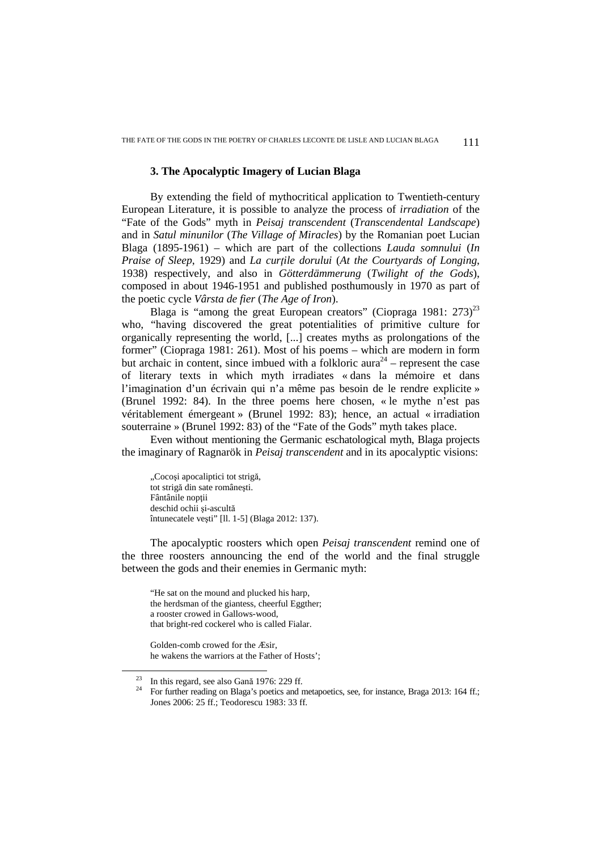## **3. The Apocalyptic Imagery of Lucian Blaga**

By extending the field of mythocritical application to Twentieth-century European Literature, it is possible to analyze the process of *irradiation* of the "Fate of the Gods" myth in *Peisaj transcendent* (*Transcendental Landscape*) and in *Satul minunilor* (*The Village of Miracles*) by the Romanian poet Lucian Blaga (1895-1961) – which are part of the collections *Lauda somnului* (*In Praise of Sleep*, 1929) and *La curţile dorului* (*At the Courtyards of Longing*, 1938) respectively, and also in *Götterdämmerung* (*Twilight of the Gods*), composed in about 1946-1951 and published posthumously in 1970 as part of the poetic cycle *Vârsta de fier* (*The Age of Iron*).

Blaga is "among the great European creators" (Ciopraga 1981:  $273$ )<sup>23</sup> who, "having discovered the great potentialities of primitive culture for organically representing the world, [...] creates myths as prolongations of the former" (Ciopraga 1981: 261). Most of his poems – which are modern in form but archaic in content, since imbued with a folkloric aura<sup>24</sup> – represent the case of literary texts in which myth irradiates « dans la mémoire et dans l'imagination d'un écrivain qui n'a même pas besoin de le rendre explicite » (Brunel 1992: 84). In the three poems here chosen, « le mythe n'est pas véritablement émergeant » (Brunel 1992: 83); hence, an actual « irradiation souterraine » (Brunel 1992: 83) of the "Fate of the Gods" myth takes place.

Even without mentioning the Germanic eschatological myth, Blaga projects the imaginary of Ragnarök in *Peisaj transcendent* and in its apocalyptic visions:

"Cocosi apocaliptici tot strigă, tot strigă din sate româneşti. Fântânile nopții deschid ochii si-ascultă întunecatele veşti" [ll. 1-5] (Blaga 2012: 137).

The apocalyptic roosters which open *Peisaj transcendent* remind one of the three roosters announcing the end of the world and the final struggle between the gods and their enemies in Germanic myth:

"He sat on the mound and plucked his harp, the herdsman of the giantess, cheerful Eggther; a rooster crowed in Gallows-wood, that bright-red cockerel who is called Fialar.

Golden-comb crowed for the Æsir, he wakens the warriors at the Father of Hosts';

<sup>&</sup>lt;sup>23</sup> In this regard, see also Gană 1976: 229 ff.

<sup>&</sup>lt;sup>24</sup> For further reading on Blaga's poetics and metapoetics, see, for instance, Braga 2013: 164 ff.; Jones 2006: 25 ff.; Teodorescu 1983: 33 ff.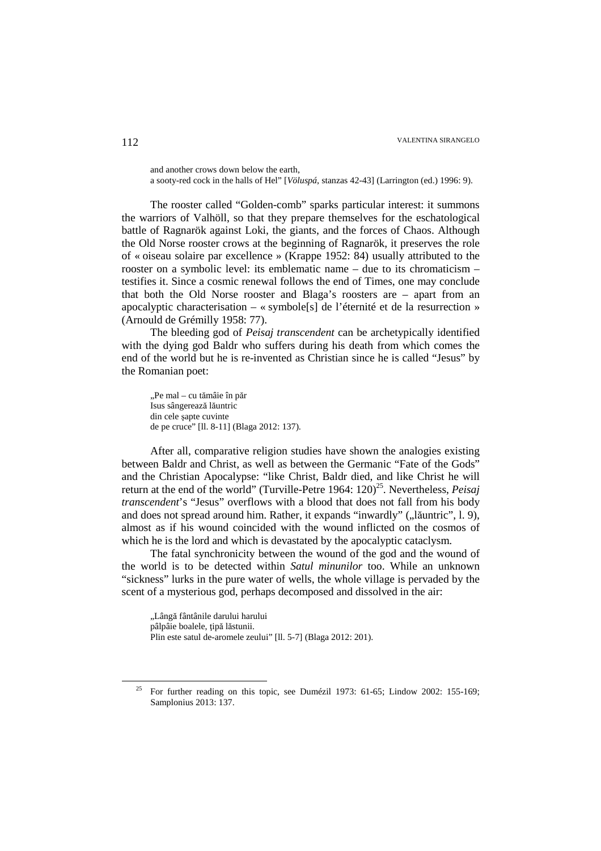and another crows down below the earth,

a sooty-red cock in the halls of Hel" [*Völuspá*, stanzas 42-43] (Larrington (ed.) 1996: 9).

The rooster called "Golden-comb" sparks particular interest: it summons the warriors of Valhöll, so that they prepare themselves for the eschatological battle of Ragnarök against Loki, the giants, and the forces of Chaos. Although the Old Norse rooster crows at the beginning of Ragnarök, it preserves the role of « oiseau solaire par excellence » (Krappe 1952: 84) usually attributed to the rooster on a symbolic level: its emblematic name – due to its chromaticism – testifies it. Since a cosmic renewal follows the end of Times, one may conclude that both the Old Norse rooster and Blaga's roosters are – apart from an apocalyptic characterisation – « symbole[s] de l'éternité et de la resurrection » (Arnould de Grémilly 1958: 77).

The bleeding god of *Peisaj transcendent* can be archetypically identified with the dying god Baldr who suffers during his death from which comes the end of the world but he is re-invented as Christian since he is called "Jesus" by the Romanian poet:

"Pe mal – cu tămâie în păr Isus sângerează lăuntric din cele sapte cuvinte de pe cruce" [ll. 8-11] (Blaga 2012: 137).

After all, comparative religion studies have shown the analogies existing between Baldr and Christ, as well as between the Germanic "Fate of the Gods" and the Christian Apocalypse: "like Christ, Baldr died, and like Christ he will return at the end of the world" (Turville-Petre 1964: 120)<sup>25</sup>. Nevertheless, *Peisaj transcendent*'s "Jesus" overflows with a blood that does not fall from his body and does not spread around him. Rather, it expands "inwardly"  $($ "lăuntric",  $1.9)$ , almost as if his wound coincided with the wound inflicted on the cosmos of which he is the lord and which is devastated by the apocalyptic cataclysm.

The fatal synchronicity between the wound of the god and the wound of the world is to be detected within *Satul minunilor* too. While an unknown "sickness" lurks in the pure water of wells, the whole village is pervaded by the scent of a mysterious god, perhaps decomposed and dissolved in the air:

"Lângă fântânile darului harului pâlpâie boalele, tipă lăstunii. Plin este satul de-aromele zeului" [ll. 5-7] (Blaga 2012: 201).

<sup>25</sup> For further reading on this topic, see Dumézil 1973: 61-65; Lindow 2002: 155-169; Samplonius 2013: 137.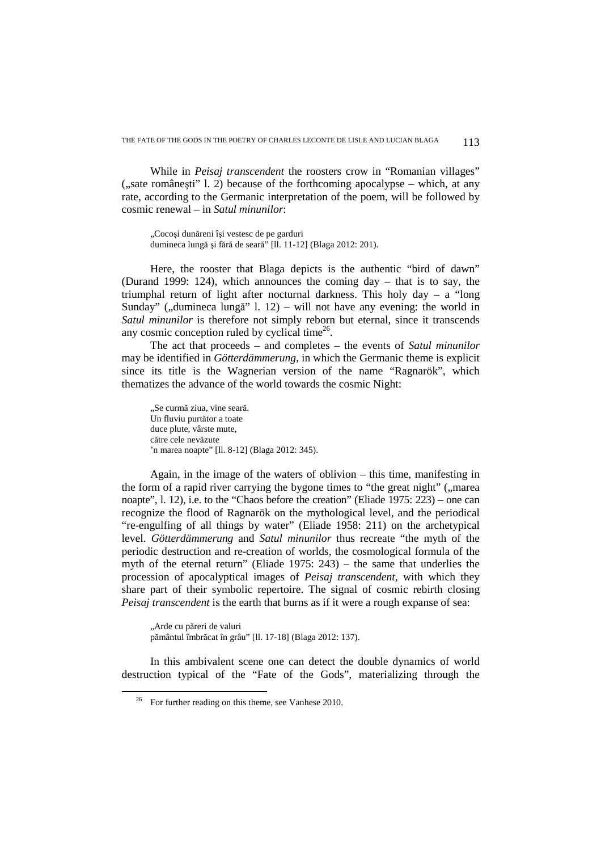While in *Peisaj transcendent* the roosters crow in "Romanian villages"  $($ . sate românesti" l. 2) because of the forthcoming apocalypse – which, at any rate, according to the Germanic interpretation of the poem, will be followed by cosmic renewal – in *Satul minunilor*:

"Cocoși dunăreni își vestesc de pe garduri dumineca lungă şi fără de seară" [ll. 11-12] (Blaga 2012: 201).

Here, the rooster that Blaga depicts is the authentic "bird of dawn" (Durand 1999: 124), which announces the coming day – that is to say, the triumphal return of light after nocturnal darkness. This holy  $day - a$  "long" Sunday" (", dumineca lungă" l. 12) – will not have any evening: the world in *Satul minunilor* is therefore not simply reborn but eternal, since it transcends any cosmic conception ruled by cyclical time $26$ .

The act that proceeds – and completes – the events of *Satul minunilor* may be identified in *Götterdämmerung*, in which the Germanic theme is explicit since its title is the Wagnerian version of the name "Ragnarök", which thematizes the advance of the world towards the cosmic Night:

"Se curmă ziua, vine seară. Un fluviu purtător a toate duce plute, vârste mute, către cele nevăzute 'n marea noapte" [ll. 8-12] (Blaga 2012: 345).

Again, in the image of the waters of oblivion – this time, manifesting in the form of a rapid river carrying the bygone times to "the great night" ("marea noapte", l. 12), i.e. to the "Chaos before the creation" (Eliade 1975: 223) – one can recognize the flood of Ragnarök on the mythological level, and the periodical "re-engulfing of all things by water" (Eliade 1958: 211) on the archetypical level. *Götterdämmerung* and *Satul minunilor* thus recreate "the myth of the periodic destruction and re-creation of worlds, the cosmological formula of the myth of the eternal return" (Eliade 1975: 243) – the same that underlies the procession of apocalyptical images of *Peisaj transcendent*, with which they share part of their symbolic repertoire. The signal of cosmic rebirth closing *Peisaj transcendent* is the earth that burns as if it were a rough expanse of sea:

"Arde cu păreri de valuri pământul îmbrăcat în grâu" [ll. 17-18] (Blaga 2012: 137).

In this ambivalent scene one can detect the double dynamics of world destruction typical of the "Fate of the Gods", materializing through the

 $26$  For further reading on this theme, see Vanhese 2010.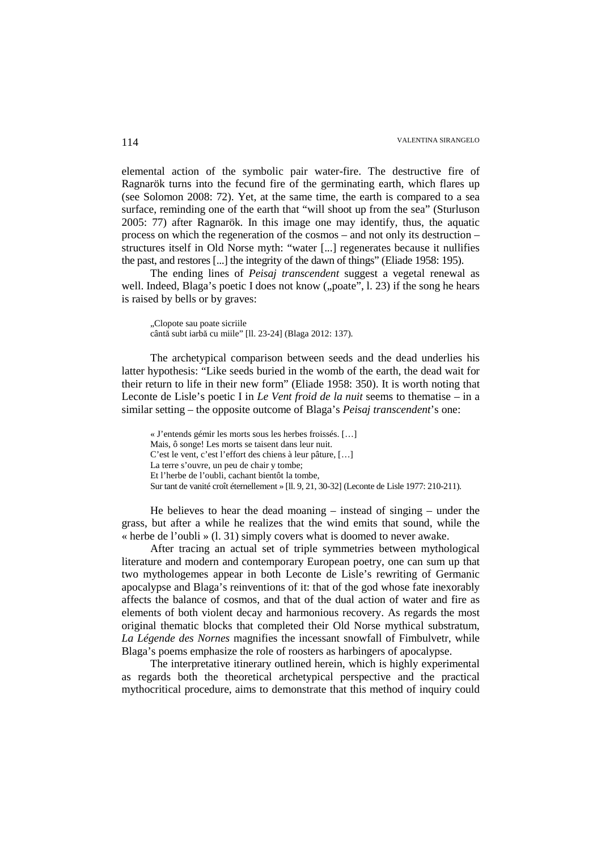elemental action of the symbolic pair water-fire. The destructive fire of Ragnarök turns into the fecund fire of the germinating earth, which flares up (see Solomon 2008: 72). Yet, at the same time, the earth is compared to a sea surface, reminding one of the earth that "will shoot up from the sea" (Sturluson 2005: 77) after Ragnarök. In this image one may identify, thus, the aquatic process on which the regeneration of the cosmos – and not only its destruction – structures itself in Old Norse myth: "water [...] regenerates because it nullifies the past, and restores [...] the integrity of the dawn of things" (Eliade 1958: 195).

The ending lines of *Peisaj transcendent* suggest a vegetal renewal as well. Indeed, Blaga's poetic I does not know  $($ "poate", l. 23) if the song he hears is raised by bells or by graves:

"Clopote sau poate sicriile cântă subt iarbă cu miile" [ll. 23-24] (Blaga 2012: 137).

The archetypical comparison between seeds and the dead underlies his latter hypothesis: "Like seeds buried in the womb of the earth, the dead wait for their return to life in their new form" (Eliade 1958: 350). It is worth noting that Leconte de Lisle's poetic I in *Le Vent froid de la nuit* seems to thematise – in a similar setting – the opposite outcome of Blaga's *Peisaj transcendent*'s one:

« J'entends gémir les morts sous les herbes froissés. […] Mais, ô songe! Les morts se taisent dans leur nuit. C'est le vent, c'est l'effort des chiens à leur pâture, […] La terre s'ouvre, un peu de chair y tombe; Et l'herbe de l'oubli, cachant bientôt la tombe, Sur tant de vanité croît éternellement » [ll. 9, 21, 30-32] (Leconte de Lisle 1977: 210-211).

He believes to hear the dead moaning – instead of singing – under the grass, but after a while he realizes that the wind emits that sound, while the « herbe de l'oubli » (l. 31) simply covers what is doomed to never awake.

After tracing an actual set of triple symmetries between mythological literature and modern and contemporary European poetry, one can sum up that two mythologemes appear in both Leconte de Lisle's rewriting of Germanic apocalypse and Blaga's reinventions of it: that of the god whose fate inexorably affects the balance of cosmos, and that of the dual action of water and fire as elements of both violent decay and harmonious recovery. As regards the most original thematic blocks that completed their Old Norse mythical substratum, *La Légende des Nornes* magnifies the incessant snowfall of Fimbulvetr, while Blaga's poems emphasize the role of roosters as harbingers of apocalypse.

The interpretative itinerary outlined herein, which is highly experimental as regards both the theoretical archetypical perspective and the practical mythocritical procedure, aims to demonstrate that this method of inquiry could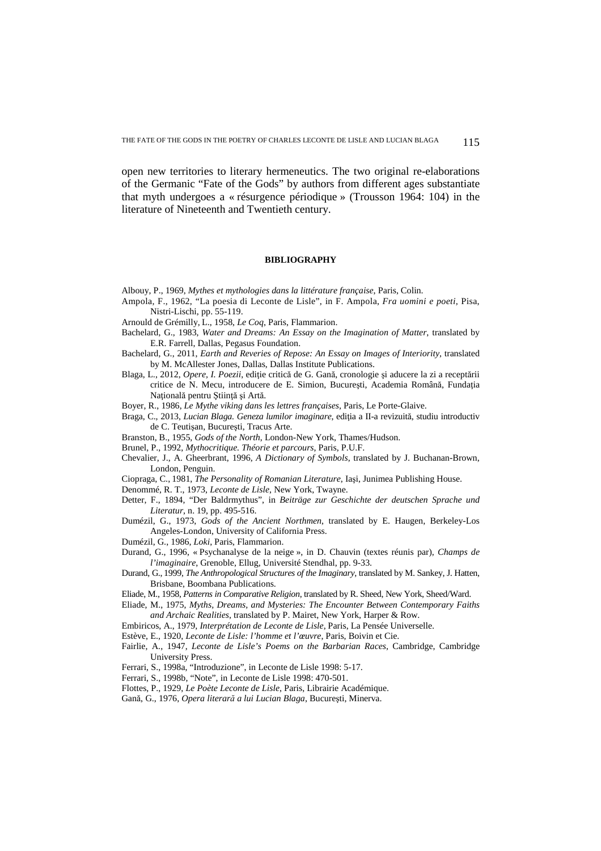open new territories to literary hermeneutics. The two original re-elaborations of the Germanic "Fate of the Gods" by authors from different ages substantiate that myth undergoes a « résurgence périodique » (Trousson 1964: 104) in the literature of Nineteenth and Twentieth century.

#### **BIBLIOGRAPHY**

Albouy, P., 1969, *Mythes et mythologies dans la littérature française*, Paris, Colin.

- Ampola, F., 1962, "La poesia di Leconte de Lisle", in F. Ampola, *Fra uomini e poeti*, Pisa, Nistri-Lischi, pp. 55-119.
- Arnould de Grémilly, L., 1958, *Le Coq*, Paris, Flammarion.
- Bachelard, G., 1983, *Water and Dreams: An Essay on the Imagination of Matter*, translated by E.R. Farrell, Dallas, Pegasus Foundation.
- Bachelard, G., 2011, *Earth and Reveries of Repose: An Essay on Images of Interiority*, translated by M. McAllester Jones, Dallas, Dallas Institute Publications.
- Blaga, L., 2012, *Opere, I. Poezii*, ediție critică de G. Gană, cronologie și aducere la zi a receptării critice de N. Mecu, introducere de E. Simion, București, Academia Română, Fundația Natională pentru Stiință și Artă.
- Boyer, R., 1986, *Le Mythe viking dans les lettres françaises*, Paris, Le Porte-Glaive.
- Braga, C., 2013, *Lucian Blaga. Geneza lumilor imaginare*, ediţia a II-a revizuită, studiu introductiv de C. Teutişan, Bucureşti, Tracus Arte.
- Branston, B., 1955, *Gods of the North*, London-New York, Thames/Hudson.
- Brunel, P., 1992, *Mythocritique. Théorie et parcours*, Paris, P.U.F.
- Chevalier, J., A. Gheerbrant, 1996, *A Dictionary of Symbols*, translated by J. Buchanan-Brown, London, Penguin.
- Ciopraga, C., 1981, *The Personality of Romanian Literature*, Iaşi, Junimea Publishing House.
- Denommé, R. T., 1973, *Leconte de Lisle*, New York, Twayne.
- Detter, F., 1894, "Der Baldrmythus", in *Beiträge zur Geschichte der deutschen Sprache und Literatur*, n. 19, pp. 495-516.
- Dumézil, G., 1973, *Gods of the Ancient Northmen*, translated by E. Haugen, Berkeley-Los Angeles-London, University of California Press.
- Dumézil, G., 1986, *Loki*, Paris, Flammarion.
- Durand, G., 1996, « Psychanalyse de la neige », in D. Chauvin (textes réunis par), *Champs de l'imaginaire*, Grenoble, Ellug, Université Stendhal, pp. 9-33.
- Durand, G., 1999, *The Anthropological Structures of the Imaginary*, translated by M. Sankey, J. Hatten, Brisbane, Boombana Publications.
- Eliade, M., 1958, *Patterns in Comparative Religion*, translated by R. Sheed, New York, Sheed/Ward.
- Eliade, M., 1975, *Myths, Dreams, and Mysteries: The Encounter Between Contemporary Faiths and Archaic Realities*, translated by P. Mairet, New York, Harper & Row.
- Embiricos, A., 1979, *Interprétation de Leconte de Lisle*, Paris, La Pensée Universelle.
- Estève, E., 1920, *Leconte de Lisle: l'homme et l'œuvre*, Paris, Boivin et Cie.
- Fairlie, A., 1947, *Leconte de Lisle's Poems on the Barbarian Races*, Cambridge, Cambridge University Press.
- Ferrari, S., 1998a, "Introduzione", in Leconte de Lisle 1998: 5-17.
- Ferrari, S., 1998b, "Note", in Leconte de Lisle 1998: 470-501.
- Flottes, P., 1929, *Le Poète Leconte de Lisle*, Paris, Librairie Académique.
- Gană, G., 1976, *Opera literară a lui Lucian Blaga*, Bucureşti, Minerva.